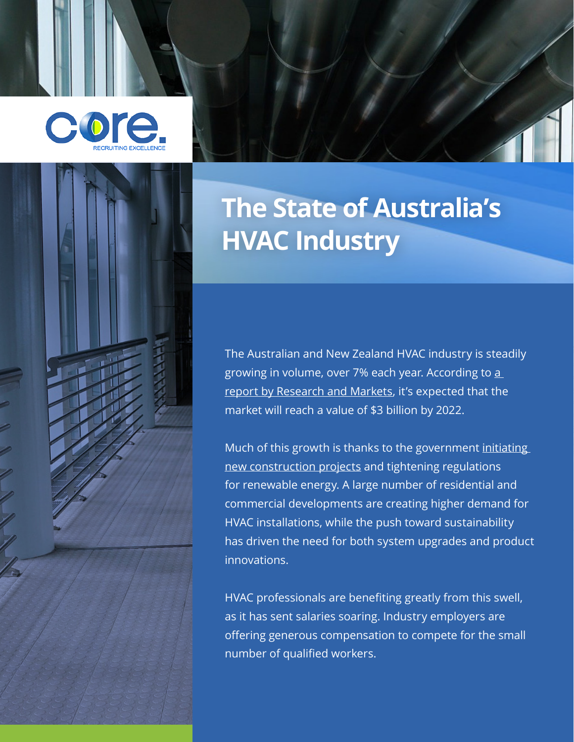



# **The State of Australia's HVAC Industry**

The Australian and New Zealand HVAC industry is steadily growing in volume, over 7% each year. According to [a](https://www.researchandmarkets.com/reports/3743769/australia-and-new-zealand-heating-ventilation)  [report by Research and Markets,](https://www.researchandmarkets.com/reports/3743769/australia-and-new-zealand-heating-ventilation) it's expected that the market will reach a value of \$3 billion by 2022.

Much of this growth is thanks to the government initiating [new construction projects](https://www.linkedin.com/pulse/australias-highest-paying-unfilled-construction-jobs-how-montgomery/) and tightening regulations for renewable energy. A large number of residential and commercial developments are creating higher demand for HVAC installations, while the push toward sustainability has driven the need for both system upgrades and product innovations.

HVAC professionals are benefiting greatly from this swell, as it has sent salaries soaring. Industry employers are offering generous compensation to compete for the small number of qualified workers.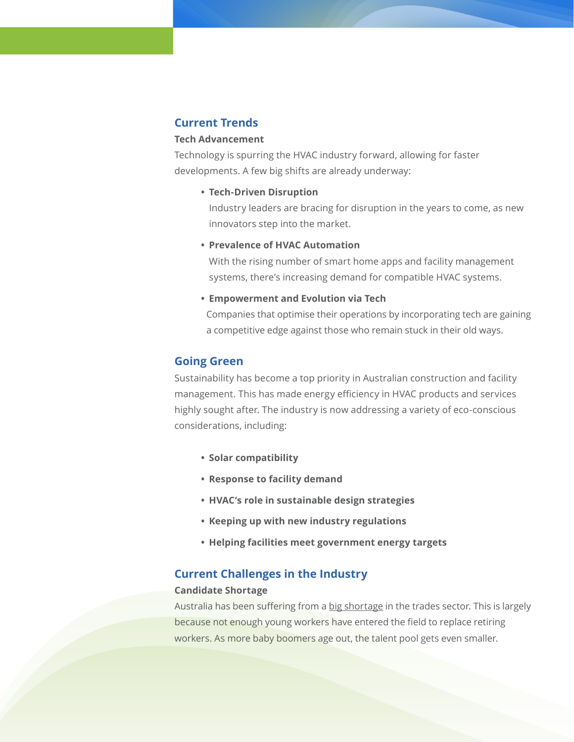# **Current Trends**

## **Tech Advancement**

Technology is spurring the HVAC industry forward, allowing for faster developments. A few big shifts are already underway:

# **• Tech-Driven Disruption**

Industry leaders are bracing for disruption in the years to come, as new innovators step into the market.

# **• Prevalence of HVAC Automation**

With the rising number of smart home apps and facility management systems, there's increasing demand for compatible HVAC systems.

#### **• Empowerment and Evolution via Tech**

Companies that optimise their operations by incorporating tech are gaining a competitive edge against those who remain stuck in their old ways.

## **Going Green**

Sustainability has become a top priority in Australian construction and facility management. This has made energy efficiency in HVAC products and services highly sought after. The industry is now addressing a variety of eco-conscious considerations, including:

- **• Solar compatibility**
- **• Response to facility demand**
- **• HVAC's role in sustainable design strategies**
- **• Keeping up with new industry regulations**
- **• Helping facilities meet government energy targets**

# **Current Challenges in the Industry**

#### **Candidate Shortage**

Australia has been suffering from a [big shortage](https://sourceable.net/is-australia-heading-for-a-construction-trade-shortage/) in the trades sector. This is largely because not enough young workers have entered the field to replace retiring workers. As more baby boomers age out, the talent pool gets even smaller.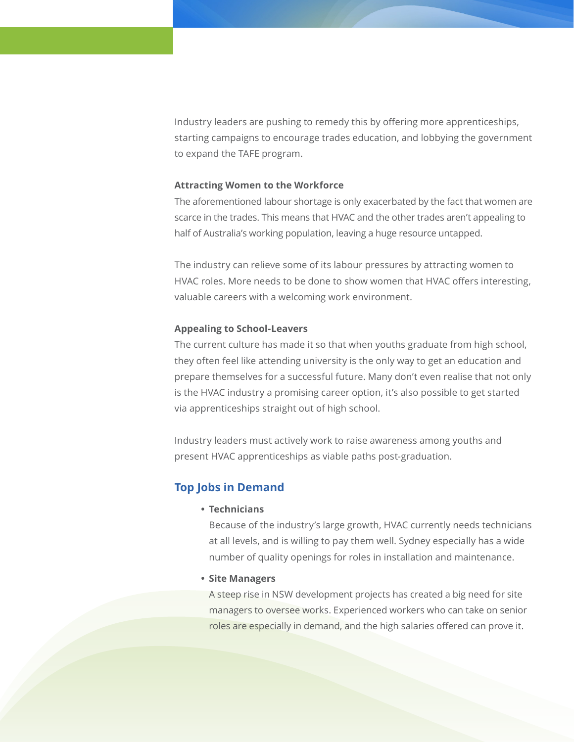Industry leaders are pushing to remedy this by offering more apprenticeships, starting campaigns to encourage trades education, and lobbying the government to expand the TAFE program.

#### **Attracting Women to the Workforce**

The aforementioned labour shortage is only exacerbated by the fact that women are scarce in the trades. This means that HVAC and the other trades aren't appealing to half of Australia's working population, leaving a huge resource untapped.

The industry can relieve some of its labour pressures by attracting women to HVAC roles. More needs to be done to show women that HVAC offers interesting, valuable careers with a welcoming work environment.

#### **Appealing to School-Leavers**

The current culture has made it so that when youths graduate from high school, they often feel like attending university is the only way to get an education and prepare themselves for a successful future. Many don't even realise that not only is the HVAC industry a promising career option, it's also possible to get started via apprenticeships straight out of high school.

Industry leaders must actively work to raise awareness among youths and present HVAC apprenticeships as viable paths post-graduation.

# **Top Jobs in Demand**

**• Technicians** 

Because of the industry's large growth, HVAC currently needs technicians at all levels, and is willing to pay them well. Sydney especially has a wide number of quality openings for roles in installation and maintenance.

**• Site Managers**

A steep rise in NSW development projects has created a big need for site managers to oversee works. Experienced workers who can take on senior roles are especially in demand, and the high salaries offered can prove it.